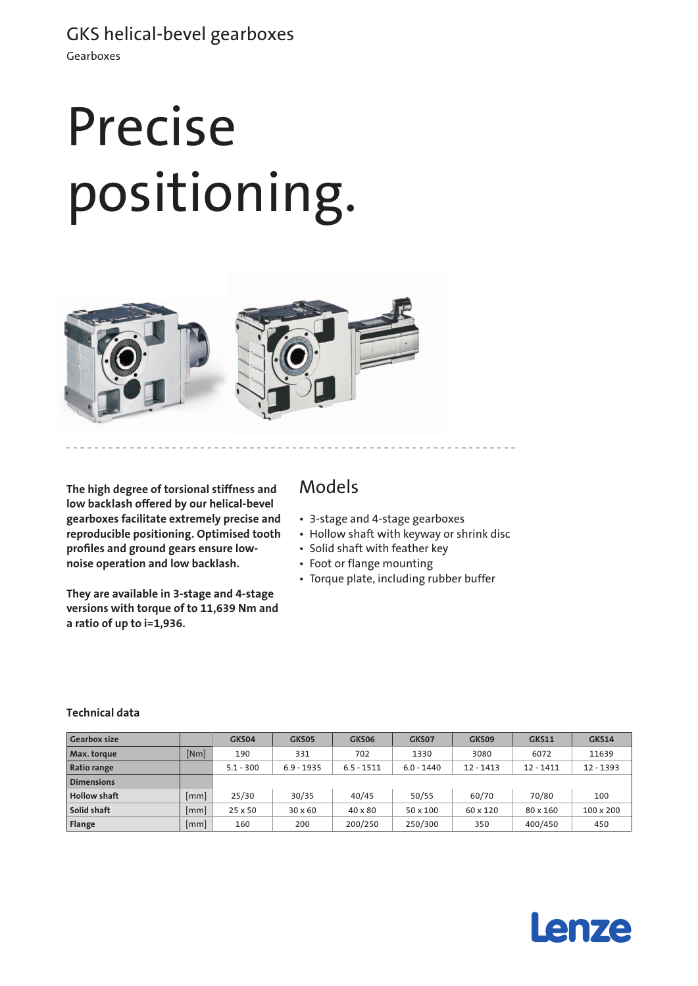# Precise positioning.



**The high degree of torsional stiffness and low backlash offered by our helical-bevel gearboxes facilitate extremely precise and reproducible positioning. Optimised tooth profiles and ground gears ensure lownoise operation and low backlash.**

**They are available in 3-stage and 4-stage versions with torque of to 11,639 Nm and a ratio of up to i=1,936.**

### Models

- • 3-stage and 4-stage gearboxes
- Hollow shaft with keyway or shrink disc
- • Solid shaft with feather key
- • Foot or flange mounting
- • Torque plate, including rubber buffer

| <b>Gearbox size</b> |                    | GKS04       | GKS05          | GKS06          | GKS07        | GKS09       | <b>GKS11</b> | GKS14       |
|---------------------|--------------------|-------------|----------------|----------------|--------------|-------------|--------------|-------------|
| Max. torque         | [Nm]               | 190         | 331            | 702            | 1330         | 3080        | 6072         | 11639       |
| <b>Ratio range</b>  |                    | $5.1 - 300$ | $6.9 - 1935$   | $6.5 - 1511$   | $6.0 - 1440$ | $12 - 1413$ | $12 - 1411$  | $12 - 1393$ |
| <b>Dimensions</b>   |                    |             |                |                |              |             |              |             |
| <b>Hollow shaft</b> | mm                 | 25/30       | 30/35          | 40/45          | 50/55        | 60/70       | 70/80        | 100         |
| Solid shaft         | [mm]               | 25 x 50     | $30 \times 60$ | $40 \times 80$ | 50 x 100     | 60 x 120    | 80 x 160     | 100 x 200   |
| Flange              | $\lceil mm \rceil$ | 160         | 200            | 200/250        | 250/300      | 350         | 400/450      | 450         |

#### **Technical data**